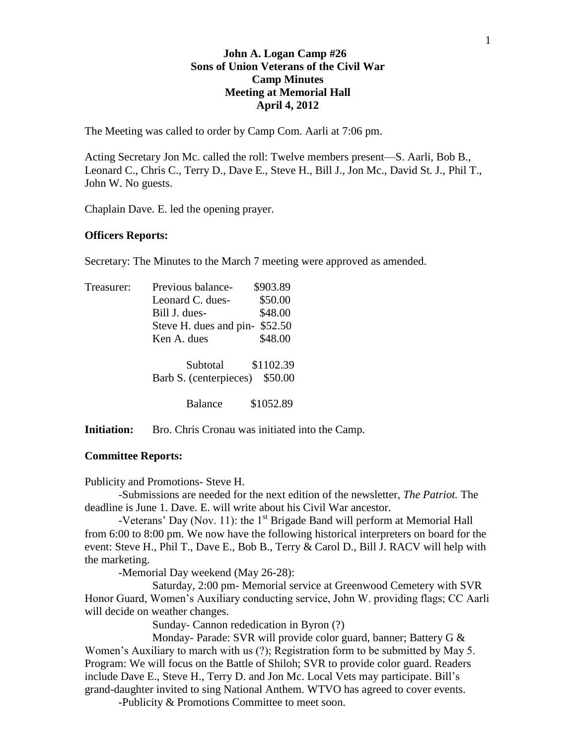# **John A. Logan Camp #26 Sons of Union Veterans of the Civil War Camp Minutes Meeting at Memorial Hall April 4, 2012**

The Meeting was called to order by Camp Com. Aarli at 7:06 pm.

Acting Secretary Jon Mc. called the roll: Twelve members present—S. Aarli, Bob B., Leonard C., Chris C., Terry D., Dave E., Steve H., Bill J., Jon Mc., David St. J., Phil T., John W. No guests.

Chaplain Dave. E. led the opening prayer.

## **Officers Reports:**

Secretary: The Minutes to the March 7 meeting were approved as amended.

| Treasurer: | Previous balance-                 | \$903.89  |
|------------|-----------------------------------|-----------|
|            | Leonard C. dues-                  | \$50.00   |
|            | Bill J. dues-                     | \$48.00   |
|            | \$52.50<br>Steve H. dues and pin- |           |
|            | Ken A. dues                       | \$48.00   |
|            | Subtotal                          | \$1102.39 |
|            | Barb S. (centerpieces)            | \$50.00   |
|            | <b>Balance</b>                    | \$1052.89 |

**Initiation:** Bro. Chris Cronau was initiated into the Camp.

### **Committee Reports:**

Publicity and Promotions- Steve H.

-Submissions are needed for the next edition of the newsletter, *The Patriot.* The deadline is June 1. Dave. E. will write about his Civil War ancestor.

-Veterans' Day (Nov. 11): the  $1<sup>st</sup>$  Brigade Band will perform at Memorial Hall from 6:00 to 8:00 pm. We now have the following historical interpreters on board for the event: Steve H., Phil T., Dave E., Bob B., Terry & Carol D., Bill J. RACV will help with the marketing.

-Memorial Day weekend (May 26-28):

Saturday, 2:00 pm- Memorial service at Greenwood Cemetery with SVR Honor Guard, Women's Auxiliary conducting service, John W. providing flags; CC Aarli will decide on weather changes.

Sunday- Cannon rededication in Byron (?)

Monday- Parade: SVR will provide color guard, banner; Battery G & Women's Auxiliary to march with us (?); Registration form to be submitted by May 5. Program: We will focus on the Battle of Shiloh; SVR to provide color guard. Readers include Dave E., Steve H., Terry D. and Jon Mc. Local Vets may participate. Bill's grand-daughter invited to sing National Anthem. WTVO has agreed to cover events.

-Publicity & Promotions Committee to meet soon.